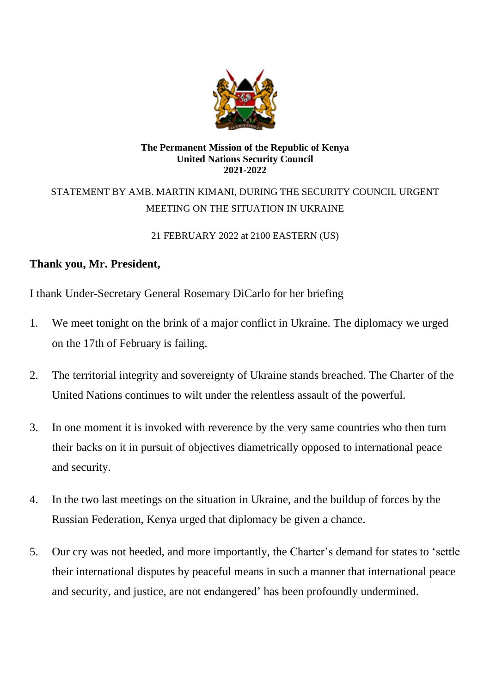

#### **The Permanent Mission of the Republic of Kenya United Nations Security Council 2021-2022**

# STATEMENT BY AMB. MARTIN KIMANI, DURING THE SECURITY COUNCIL URGENT MEETING ON THE SITUATION IN UKRAINE

21 FEBRUARY 2022 at 2100 EASTERN (US)

## **Thank you, Mr. President,**

I thank Under-Secretary General Rosemary DiCarlo for her briefing

- 1. We meet tonight on the brink of a major conflict in Ukraine. The diplomacy we urged on the 17th of February is failing.
- 2. The territorial integrity and sovereignty of Ukraine stands breached. The Charter of the United Nations continues to wilt under the relentless assault of the powerful.
- 3. In one moment it is invoked with reverence by the very same countries who then turn their backs on it in pursuit of objectives diametrically opposed to international peace and security.
- 4. In the two last meetings on the situation in Ukraine, and the buildup of forces by the Russian Federation, Kenya urged that diplomacy be given a chance.
- 5. Our cry was not heeded, and more importantly, the Charter's demand for states to 'settle their international disputes by peaceful means in such a manner that international peace and security, and justice, are not endangered' has been profoundly undermined.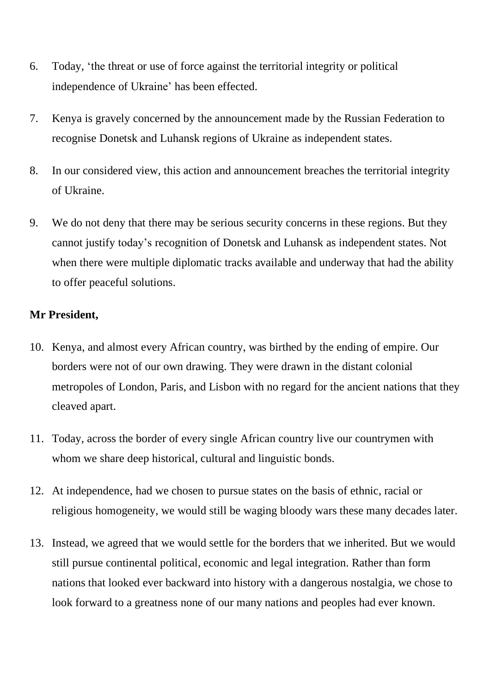- 6. Today, 'the threat or use of force against the territorial integrity or political independence of Ukraine' has been effected.
- 7. Kenya is gravely concerned by the announcement made by the Russian Federation to recognise Donetsk and Luhansk regions of Ukraine as independent states.
- 8. In our considered view, this action and announcement breaches the territorial integrity of Ukraine.
- 9. We do not deny that there may be serious security concerns in these regions. But they cannot justify today's recognition of Donetsk and Luhansk as independent states. Not when there were multiple diplomatic tracks available and underway that had the ability to offer peaceful solutions.

## **Mr President,**

- 10. Kenya, and almost every African country, was birthed by the ending of empire. Our borders were not of our own drawing. They were drawn in the distant colonial metropoles of London, Paris, and Lisbon with no regard for the ancient nations that they cleaved apart.
- 11. Today, across the border of every single African country live our countrymen with whom we share deep historical, cultural and linguistic bonds.
- 12. At independence, had we chosen to pursue states on the basis of ethnic, racial or religious homogeneity, we would still be waging bloody wars these many decades later.
- 13. Instead, we agreed that we would settle for the borders that we inherited. But we would still pursue continental political, economic and legal integration. Rather than form nations that looked ever backward into history with a dangerous nostalgia, we chose to look forward to a greatness none of our many nations and peoples had ever known.